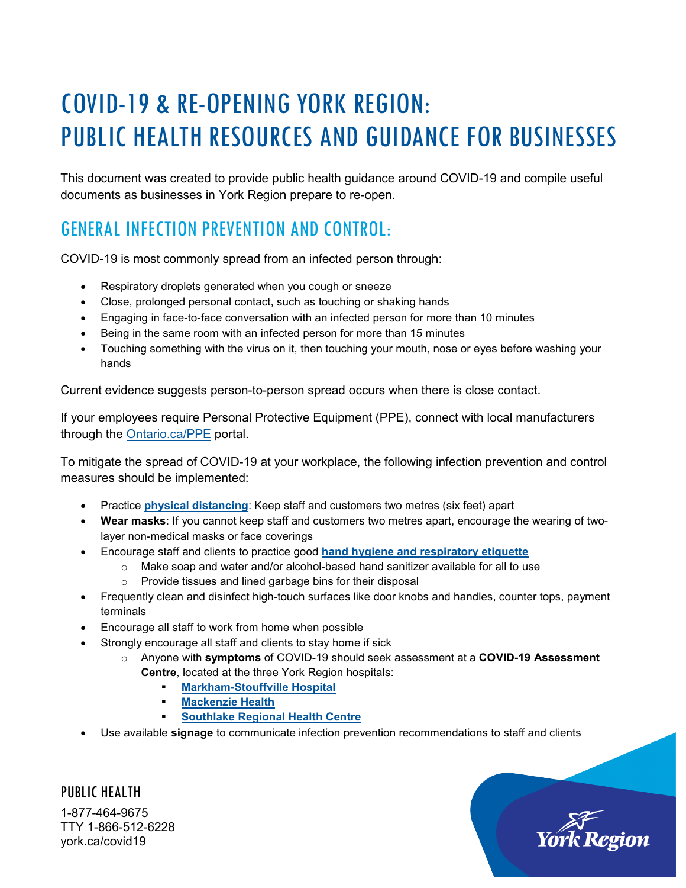# COVID-19 & RE-OPENING YORK REGION: PUBLIC HEALTH RESOURCES AND GUIDANCE FOR BUSINESSES

This document was created to provide public health guidance around COVID-19 and compile useful documents as businesses in York Region prepare to re-open.

### GENERAL INFECTION PREVENTION AND CONTROL:

COVID-19 is most commonly spread from an infected person through:

- Respiratory droplets generated when you cough or sneeze
- Close, prolonged personal contact, such as touching or shaking hands
- Engaging in face-to-face conversation with an infected person for more than 10 minutes
- Being in the same room with an infected person for more than 15 minutes
- Touching something with the virus on it, then touching your mouth, nose or eyes before washing your hands

Current evidence suggests person-to-person spread occurs when there is close contact.

If your employees require Personal Protective Equipment (PPE), connect with local manufacturers through the Ontario.ca/PPE portal.

To mitigate the spread of COVID-19 at your workplace, the following infection prevention and control measures should be implemented:

- Practice **[physical distancing](https://www.york.ca/wps/wcm/connect/yorkpublic/8b46e61b-af4d-4787-a77b-4100b75df288/202032-03b_Practicing%2BSocial%2BDistancing_8-5x11.pdf?MOD=AJPERES&CVID=n5svRxd)**: Keep staff and customers two metres (six feet) apart
- **Wear masks**: If you cannot keep staff and customers two metres apart, encourage the wearing of twolayer non-medical masks or face coverings
- Encourage staff and clients to practice good **[hand hygiene and respiratory etiquette](https://www.york.ca/wps/wcm/connect/yorkpublic/5637cc20-d777-496f-a57d-0754abe81490/202032-10d_lowerYourRisk_8-5x11.pdf)**
	- $\circ$  Make soap and water and/or alcohol-based hand sanitizer available for all to use
	- o Provide tissues and lined garbage bins for their disposal
- Frequently clean and disinfect high-touch surfaces like door knobs and handles, counter tops, payment terminals
- Encourage all staff to work from home when possible
- Strongly encourage all staff and clients to stay home if sick
	- o Anyone with **symptoms** of COVID-19 should seek assessment at a **COVID-19 Assessment Centre**, located at the three York Region hospitals:
		- **[Markham-Stouffville](https://www.msh.on.ca/about-us/covid-19-information-page#assessment) Hospital**
		- **[Mackenzie](https://www.mackenziehealth.ca/en/about-us/get-the-latest-information-on-covid-19.aspx) Health**
		- **[Southlake](https://southlake.ca/covid19) Regional Health Centre**
- Use available **signage** to communicate infection prevention recommendations to staff and clients

PUBLIC HEALTH 1-877-464-9675 TTY 1-866-512-6228 york.ca/covid19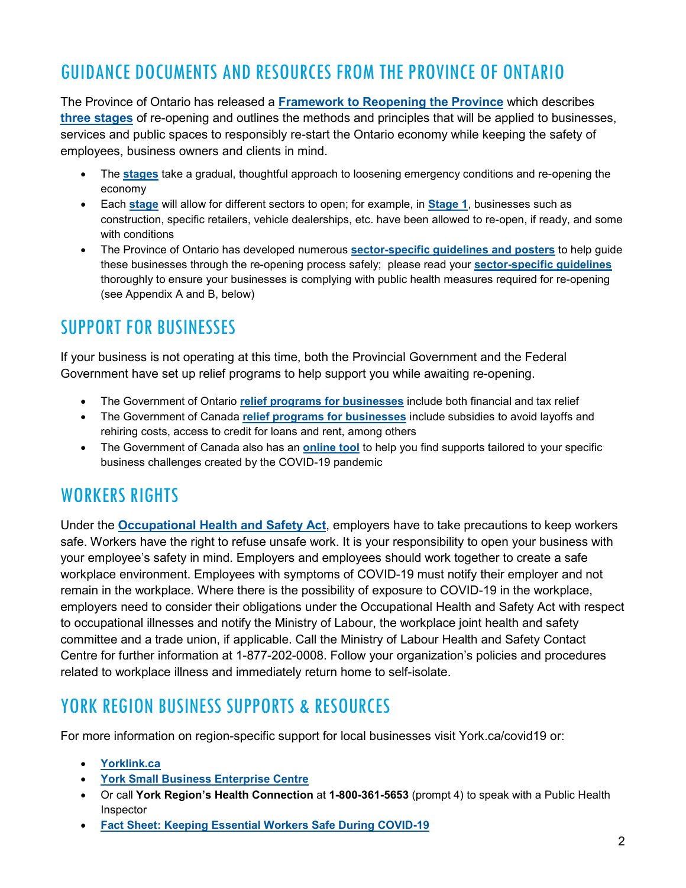#### GUIDANCE DOCUMENTS AND RESOURCES FROM THE PROVINCE OF ONTARIO

The Province of Ontario has released a **[Framework to Reopening the Province](https://www.ontario.ca/page/framework-reopening-our-province)** which describes **[three stages](https://www.ontario.ca/page/reopening-ontario-after-covid-19)** of re-opening and outlines the methods and principles that will be applied to businesses, services and public spaces to responsibly re-start the Ontario economy while keeping the safety of employees, business owners and clients in mind.

- The **[stages](https://www.ontario.ca/page/reopening-ontario-after-covid-19)** take a gradual, thoughtful approach to loosening emergency conditions and re-opening the economy
- Each **[stage](https://www.ontario.ca/page/reopening-ontario-after-covid-19)** will allow for different sectors to open; for example, in **[Stage 1](https://files.ontario.ca/mof-detailed-list-stage-1-openings-en-2020-05-14.pdf)**, businesses such as construction, specific retailers, vehicle dealerships, etc. have been allowed to re-open, if ready, and some with conditions
- The Province of Ontario has developed numerous **[sector-specific guidelines and posters](https://www.ontario.ca/page/resources-prevent-covid-19-workplace)** to help guide these businesses through the re-opening process safely; please read your **[sector-specific guidelines](https://www.ontario.ca/page/resources-prevent-covid-19-workplace)** thoroughly to ensure your businesses is complying with public health measures required for re-opening (see Appendix A and B, below)

#### SUPPORT FOR BUSINESSES

If your business is not operating at this time, both the Provincial Government and the Federal Government have set up relief programs to help support you while awaiting re-opening.

- The Government of Ontario **[relief programs for businesses](https://www.ontario.ca/page/covid-19-support-businesses)** include both financial and tax relief
- The Government of Canada **[relief programs for businesses](https://www.canada.ca/en/department-finance/economic-response-plan.html#businesses)** include subsidies to avoid layoffs and rehiring costs, access to credit for loans and rent, among others
- The Government of Canada also has an **[online tool](https://innovation.ised-isde.canada.ca/s/?language=en)** to help you find supports tailored to your specific business challenges created by the COVID-19 pandemic

#### WORKERS RIGHTS

Under the **[Occupational Health and Safety Act](https://www.ontario.ca/laws/statute/90o01)**, employers have to take precautions to keep workers safe. Workers have the right to refuse unsafe work. It is your responsibility to open your business with your employee's safety in mind. Employers and employees should work together to create a safe workplace environment. Employees with symptoms of COVID-19 must notify their employer and not remain in the workplace. Where there is the possibility of exposure to COVID-19 in the workplace, employers need to consider their obligations under the Occupational Health and Safety Act with respect to occupational illnesses and notify the Ministry of Labour, the workplace joint health and safety committee and a trade union, if applicable. Call the Ministry of Labour Health and Safety Contact Centre for further information at 1-877-202-0008. Follow your organization's policies and procedures related to workplace illness and immediately return home to self-isolate.

#### YORK REGION BUSINESS SUPPORTS & RESOURCES

For more information on region-specific support for local businesses visit York.ca/covid19 or:

- **[Yorklink.ca](https://www.yorklink.ca/covid19-yorkregion-business-resources/)**
- **[York Small Business Enterprise Centre](https://www.yorksmallbusiness.ca/covid-19-resources-for-the-york-region-business-community/)**
- Or call **York Region's Health Connection** at **1-800-361-5653** (prompt 4) to speak with a Public Health Inspector
- **[Fact Sheet: Keeping Essential Workers Safe During COVID-19](https://www.york.ca/wps/wcm/connect/yorkpublic/fd054697-9f61-49a5-a24c-220e99aae34d/KEEPING+ESSENTIAL+WORKERS+SAFE+DURING+COVID-19.pdf?MOD=AJPERES&CVID=n7dWmSa)**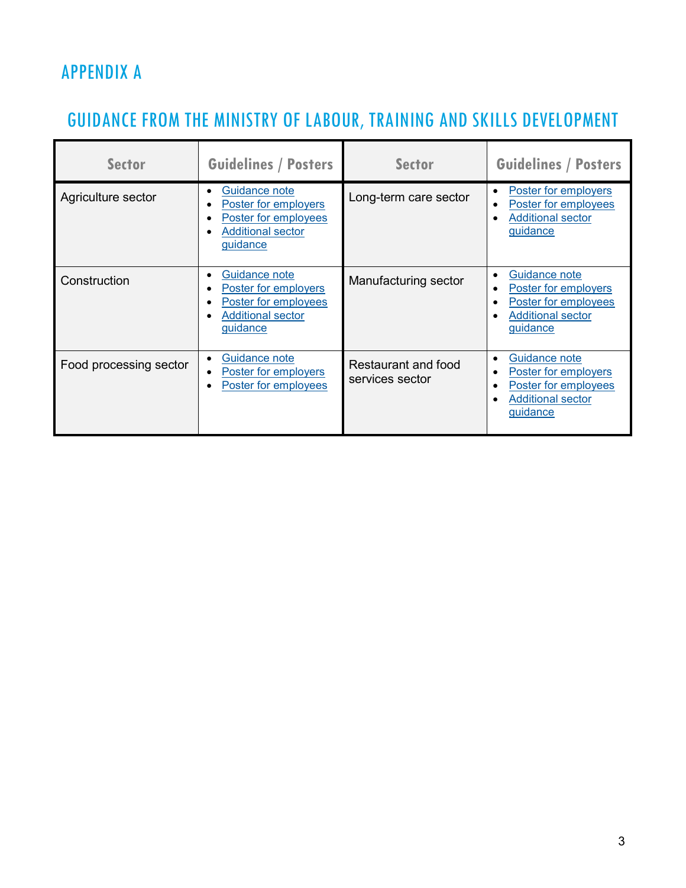### APPENDIX A

## GUIDANCE FROM THE MINISTRY OF LABOUR, TRAINING AND SKILLS DEVELOPMENT

| <b>Sector</b>          | <b>Guidelines / Posters</b>                                                                           | <b>Sector</b>                          | <b>Guidelines / Posters</b>                                                                           |
|------------------------|-------------------------------------------------------------------------------------------------------|----------------------------------------|-------------------------------------------------------------------------------------------------------|
| Agriculture sector     | Guidance note<br>Poster for employers<br>Poster for employees<br><b>Additional sector</b><br>guidance | Long-term care sector                  | Poster for employers<br>Poster for employees<br><b>Additional sector</b><br>guidance                  |
| Construction           | Guidance note<br>Poster for employers<br>Poster for employees<br><b>Additional sector</b><br>guidance | Manufacturing sector                   | Guidance note<br>Poster for employers<br>Poster for employees<br><b>Additional sector</b><br>guidance |
| Food processing sector | Guidance note<br>Poster for employers<br>Poster for employees                                         | Restaurant and food<br>services sector | Guidance note<br>Poster for employers<br>Poster for employees<br><b>Additional sector</b><br>guidance |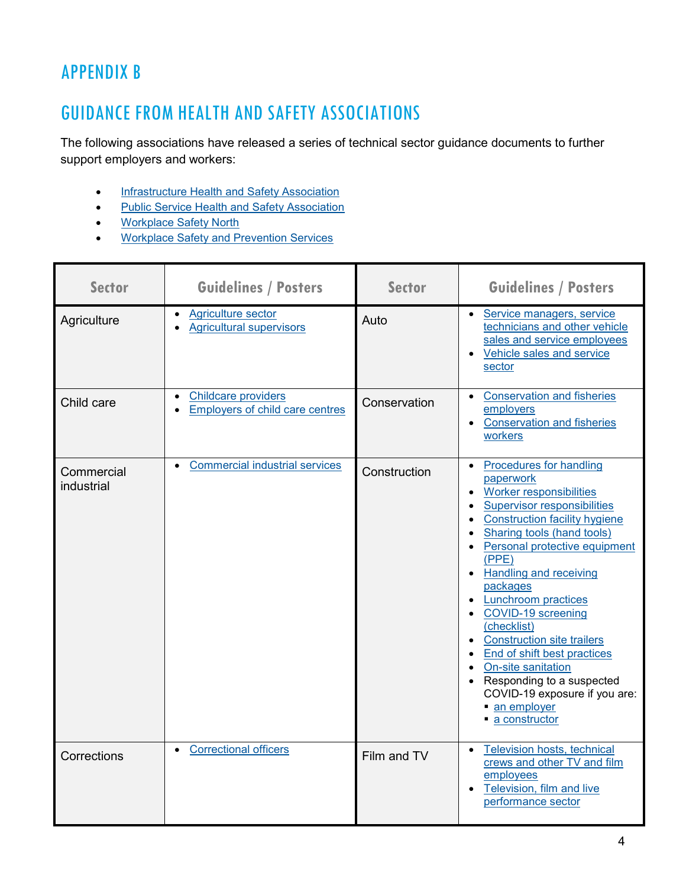#### APPENDIX B

#### GUIDANCE FROM HEALTH AND SAFETY ASSOCIATIONS

The following associations have released a series of technical sector guidance documents to further support employers and workers:

- [Infrastructure Health and Safety Association](http://www.ihsa.ca/)
- [Public Service Health and Safety Association](https://www.pshsa.ca/)
- [Workplace Safety North](https://www.workplacesafetynorth.ca/)
- [Workplace Safety and Prevention Services](https://www.wsps.ca/Home.aspx)

| <b>Sector</b>            | <b>Guidelines / Posters</b>                                                             | <b>Sector</b> | <b>Guidelines / Posters</b>                                                                                                                                                                                                                                                                                                                                                                                                                                                                                                                                                                                                          |
|--------------------------|-----------------------------------------------------------------------------------------|---------------|--------------------------------------------------------------------------------------------------------------------------------------------------------------------------------------------------------------------------------------------------------------------------------------------------------------------------------------------------------------------------------------------------------------------------------------------------------------------------------------------------------------------------------------------------------------------------------------------------------------------------------------|
| Agriculture              | Agriculture sector<br>$\bullet$<br><b>Agricultural supervisors</b>                      | Auto          | Service managers, service<br>$\bullet$<br>technicians and other vehicle<br>sales and service employees<br>Vehicle sales and service<br>$\bullet$<br>sector                                                                                                                                                                                                                                                                                                                                                                                                                                                                           |
| Child care               | <b>Childcare providers</b><br>$\bullet$<br>Employers of child care centres<br>$\bullet$ | Conservation  | <b>Conservation and fisheries</b><br>$\bullet$<br>employers<br><b>Conservation and fisheries</b><br>$\bullet$<br>workers                                                                                                                                                                                                                                                                                                                                                                                                                                                                                                             |
| Commercial<br>industrial | <b>Commercial industrial services</b><br>$\bullet$                                      | Construction  | <b>Procedures for handling</b><br>$\bullet$<br>paperwork<br>Worker responsibilities<br>$\bullet$<br><b>Supervisor responsibilities</b><br>$\bullet$<br><b>Construction facility hygiene</b><br>$\bullet$<br>Sharing tools (hand tools)<br>Personal protective equipment<br>$\bullet$<br>(PPE)<br><b>Handling and receiving</b><br>$\bullet$<br>packages<br><b>Lunchroom practices</b><br>$\bullet$<br>• COVID-19 screening<br>(checklist)<br>• Construction site trailers<br>• End of shift best practices<br>• On-site sanitation<br>• Responding to a suspected<br>COVID-19 exposure if you are:<br>an employer<br>• a constructor |
| Corrections              | <b>Correctional officers</b>                                                            | Film and TV   | Television hosts, technical<br>$\bullet$<br>crews and other TV and film<br>employees<br>Television, film and live<br>$\bullet$<br>performance sector                                                                                                                                                                                                                                                                                                                                                                                                                                                                                 |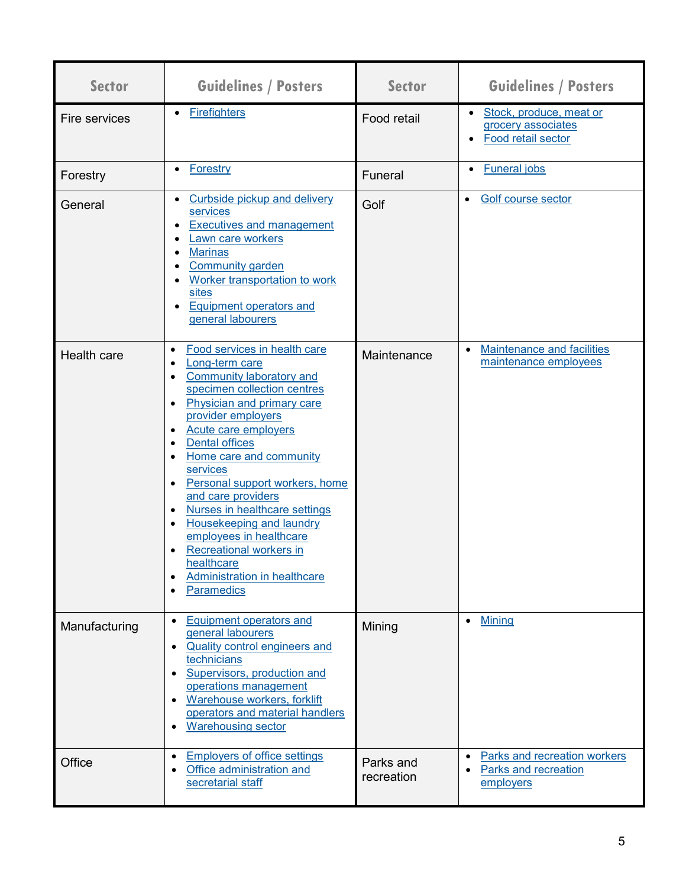| <b>Sector</b> | <b>Guidelines / Posters</b>                                                                                                                                                                                                                                                                                                                                                                                                                                                                                             | <b>Sector</b>           | <b>Guidelines / Posters</b>                                                           |
|---------------|-------------------------------------------------------------------------------------------------------------------------------------------------------------------------------------------------------------------------------------------------------------------------------------------------------------------------------------------------------------------------------------------------------------------------------------------------------------------------------------------------------------------------|-------------------------|---------------------------------------------------------------------------------------|
| Fire services | <b>Firefighters</b>                                                                                                                                                                                                                                                                                                                                                                                                                                                                                                     | Food retail             | Stock, produce, meat or<br>$\bullet$<br>grocery associates<br>Food retail sector      |
| Forestry      | Forestry                                                                                                                                                                                                                                                                                                                                                                                                                                                                                                                | Funeral                 | <b>Funeral jobs</b><br>$\bullet$                                                      |
| General       | <b>Curbside pickup and delivery</b><br>services<br><b>Executives and management</b><br>Lawn care workers<br><b>Marinas</b><br><b>Community garden</b><br>Worker transportation to work<br>sites<br><b>Equipment operators and</b><br>general labourers                                                                                                                                                                                                                                                                  | Golf                    | Golf course sector<br>$\bullet$                                                       |
| Health care   | Food services in health care<br>$\bullet$<br>Long-term care<br><b>Community laboratory and</b><br>specimen collection centres<br>Physician and primary care<br>provider employers<br>Acute care employers<br><b>Dental offices</b><br>Home care and community<br>services<br>Personal support workers, home<br>and care providers<br>Nurses in healthcare settings<br>Housekeeping and laundry<br>employees in healthcare<br>Recreational workers in<br>healthcare<br>Administration in healthcare<br><b>Paramedics</b> | Maintenance             | <b>Maintenance and facilities</b><br>$\bullet$<br>maintenance employees               |
| Manufacturing | Equipment operators and<br>$\bullet$<br>general labourers<br><b>Quality control engineers and</b><br>$\bullet$<br>technicians<br>Supervisors, production and<br>$\bullet$<br>operations management<br>Warehouse workers, forklift<br>$\bullet$<br>operators and material handlers<br><b>Warehousing sector</b><br>$\bullet$                                                                                                                                                                                             | Mining                  | <b>Mining</b><br>$\bullet$                                                            |
| Office        | Employers of office settings<br>$\bullet$<br>Office administration and<br>$\bullet$<br>secretarial staff                                                                                                                                                                                                                                                                                                                                                                                                                | Parks and<br>recreation | Parks and recreation workers<br>$\bullet$<br><b>Parks and recreation</b><br>employers |